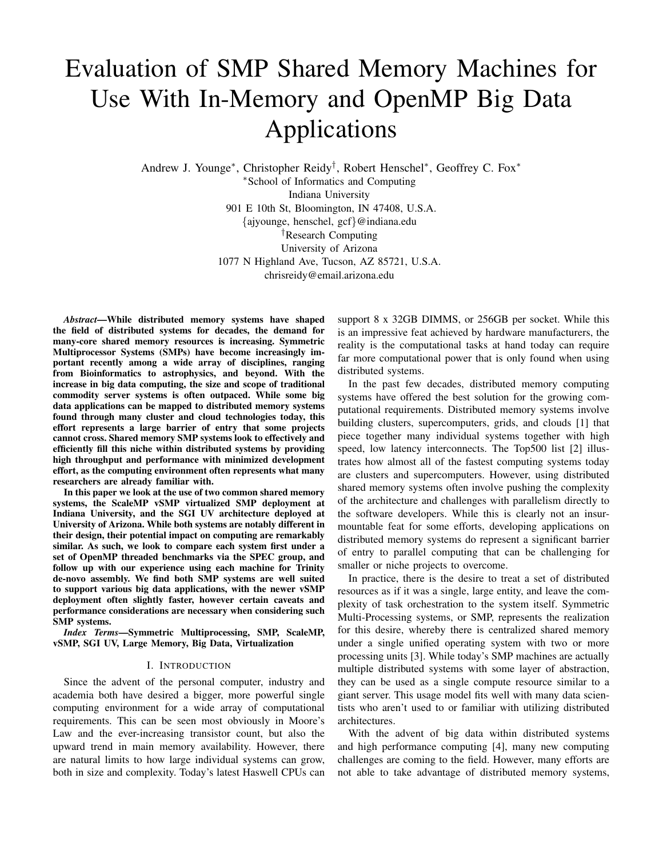# Evaluation of SMP Shared Memory Machines for Use With In-Memory and OpenMP Big Data Applications

Andrew J. Younge<sup>∗</sup> , Christopher Reidy† , Robert Henschel<sup>∗</sup> , Geoffrey C. Fox<sup>∗</sup> <sup>∗</sup>School of Informatics and Computing

Indiana University 901 E 10th St, Bloomington, IN 47408, U.S.A. {ajyounge, henschel, gcf}@indiana.edu †Research Computing University of Arizona 1077 N Highland Ave, Tucson, AZ 85721, U.S.A. chrisreidy@email.arizona.edu

*Abstract*—While distributed memory systems have shaped the field of distributed systems for decades, the demand for many-core shared memory resources is increasing. Symmetric Multiprocessor Systems (SMPs) have become increasingly important recently among a wide array of disciplines, ranging from Bioinformatics to astrophysics, and beyond. With the increase in big data computing, the size and scope of traditional commodity server systems is often outpaced. While some big data applications can be mapped to distributed memory systems found through many cluster and cloud technologies today, this effort represents a large barrier of entry that some projects cannot cross. Shared memory SMP systems look to effectively and efficiently fill this niche within distributed systems by providing high throughput and performance with minimized development effort, as the computing environment often represents what many researchers are already familiar with.

In this paper we look at the use of two common shared memory systems, the ScaleMP vSMP virtualized SMP deployment at Indiana University, and the SGI UV architecture deployed at University of Arizona. While both systems are notably different in their design, their potential impact on computing are remarkably similar. As such, we look to compare each system first under a set of OpenMP threaded benchmarks via the SPEC group, and follow up with our experience using each machine for Trinity de-novo assembly. We find both SMP systems are well suited to support various big data applications, with the newer vSMP deployment often slightly faster, however certain caveats and performance considerations are necessary when considering such SMP systems.

*Index Terms*—Symmetric Multiprocessing, SMP, ScaleMP, vSMP, SGI UV, Large Memory, Big Data, Virtualization

## I. INTRODUCTION

Since the advent of the personal computer, industry and academia both have desired a bigger, more powerful single computing environment for a wide array of computational requirements. This can be seen most obviously in Moore's Law and the ever-increasing transistor count, but also the upward trend in main memory availability. However, there are natural limits to how large individual systems can grow, both in size and complexity. Today's latest Haswell CPUs can support 8 x 32GB DIMMS, or 256GB per socket. While this is an impressive feat achieved by hardware manufacturers, the reality is the computational tasks at hand today can require far more computational power that is only found when using distributed systems.

In the past few decades, distributed memory computing systems have offered the best solution for the growing computational requirements. Distributed memory systems involve building clusters, supercomputers, grids, and clouds [1] that piece together many individual systems together with high speed, low latency interconnects. The Top500 list [2] illustrates how almost all of the fastest computing systems today are clusters and supercomputers. However, using distributed shared memory systems often involve pushing the complexity of the architecture and challenges with parallelism directly to the software developers. While this is clearly not an insurmountable feat for some efforts, developing applications on distributed memory systems do represent a significant barrier of entry to parallel computing that can be challenging for smaller or niche projects to overcome.

In practice, there is the desire to treat a set of distributed resources as if it was a single, large entity, and leave the complexity of task orchestration to the system itself. Symmetric Multi-Processing systems, or SMP, represents the realization for this desire, whereby there is centralized shared memory under a single unified operating system with two or more processing units [3]. While today's SMP machines are actually multiple distributed systems with some layer of abstraction, they can be used as a single compute resource similar to a giant server. This usage model fits well with many data scientists who aren't used to or familiar with utilizing distributed architectures.

With the advent of big data within distributed systems and high performance computing [4], many new computing challenges are coming to the field. However, many efforts are not able to take advantage of distributed memory systems,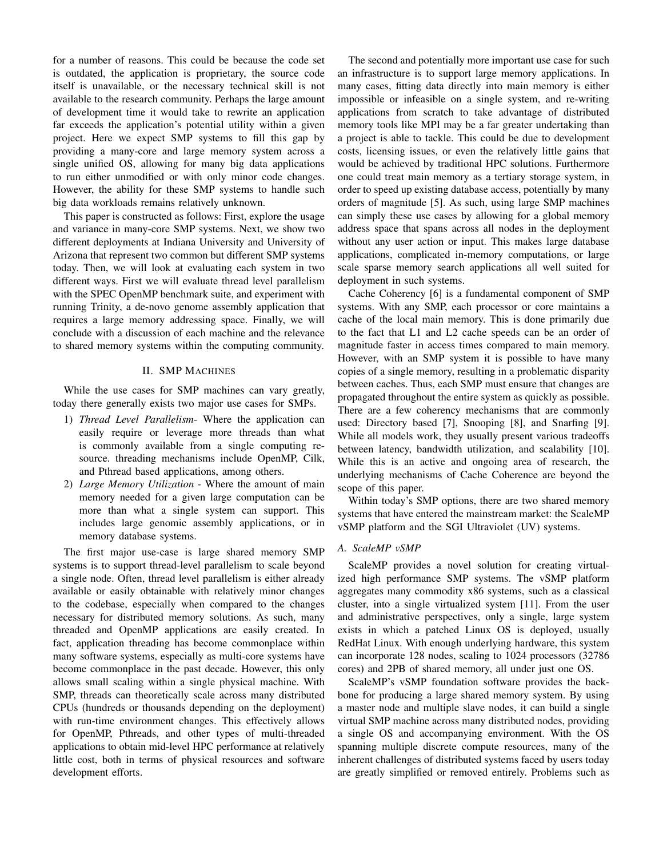for a number of reasons. This could be because the code set is outdated, the application is proprietary, the source code itself is unavailable, or the necessary technical skill is not available to the research community. Perhaps the large amount of development time it would take to rewrite an application far exceeds the application's potential utility within a given project. Here we expect SMP systems to fill this gap by providing a many-core and large memory system across a single unified OS, allowing for many big data applications to run either unmodified or with only minor code changes. However, the ability for these SMP systems to handle such big data workloads remains relatively unknown.

This paper is constructed as follows: First, explore the usage and variance in many-core SMP systems. Next, we show two different deployments at Indiana University and University of Arizona that represent two common but different SMP systems today. Then, we will look at evaluating each system in two different ways. First we will evaluate thread level parallelism with the SPEC OpenMP benchmark suite, and experiment with running Trinity, a de-novo genome assembly application that requires a large memory addressing space. Finally, we will conclude with a discussion of each machine and the relevance to shared memory systems within the computing community.

## II. SMP MACHINES

While the use cases for SMP machines can vary greatly, today there generally exists two major use cases for SMPs.

- 1) *Thread Level Parallelism* Where the application can easily require or leverage more threads than what is commonly available from a single computing resource. threading mechanisms include OpenMP, Cilk, and Pthread based applications, among others.
- 2) *Large Memory Utilization* Where the amount of main memory needed for a given large computation can be more than what a single system can support. This includes large genomic assembly applications, or in memory database systems.

The first major use-case is large shared memory SMP systems is to support thread-level parallelism to scale beyond a single node. Often, thread level parallelism is either already available or easily obtainable with relatively minor changes to the codebase, especially when compared to the changes necessary for distributed memory solutions. As such, many threaded and OpenMP applications are easily created. In fact, application threading has become commonplace within many software systems, especially as multi-core systems have become commonplace in the past decade. However, this only allows small scaling within a single physical machine. With SMP, threads can theoretically scale across many distributed CPUs (hundreds or thousands depending on the deployment) with run-time environment changes. This effectively allows for OpenMP, Pthreads, and other types of multi-threaded applications to obtain mid-level HPC performance at relatively little cost, both in terms of physical resources and software development efforts.

The second and potentially more important use case for such an infrastructure is to support large memory applications. In many cases, fitting data directly into main memory is either impossible or infeasible on a single system, and re-writing applications from scratch to take advantage of distributed memory tools like MPI may be a far greater undertaking than a project is able to tackle. This could be due to development costs, licensing issues, or even the relatively little gains that would be achieved by traditional HPC solutions. Furthermore one could treat main memory as a tertiary storage system, in order to speed up existing database access, potentially by many orders of magnitude [5]. As such, using large SMP machines can simply these use cases by allowing for a global memory address space that spans across all nodes in the deployment without any user action or input. This makes large database applications, complicated in-memory computations, or large scale sparse memory search applications all well suited for deployment in such systems.

Cache Coherency [6] is a fundamental component of SMP systems. With any SMP, each processor or core maintains a cache of the local main memory. This is done primarily due to the fact that L1 and L2 cache speeds can be an order of magnitude faster in access times compared to main memory. However, with an SMP system it is possible to have many copies of a single memory, resulting in a problematic disparity between caches. Thus, each SMP must ensure that changes are propagated throughout the entire system as quickly as possible. There are a few coherency mechanisms that are commonly used: Directory based [7], Snooping [8], and Snarfing [9]. While all models work, they usually present various tradeoffs between latency, bandwidth utilization, and scalability [10]. While this is an active and ongoing area of research, the underlying mechanisms of Cache Coherence are beyond the scope of this paper.

Within today's SMP options, there are two shared memory systems that have entered the mainstream market: the ScaleMP vSMP platform and the SGI Ultraviolet (UV) systems.

# *A. ScaleMP vSMP*

ScaleMP provides a novel solution for creating virtualized high performance SMP systems. The vSMP platform aggregates many commodity x86 systems, such as a classical cluster, into a single virtualized system [11]. From the user and administrative perspectives, only a single, large system exists in which a patched Linux OS is deployed, usually RedHat Linux. With enough underlying hardware, this system can incorporate 128 nodes, scaling to 1024 processors (32786 cores) and 2PB of shared memory, all under just one OS.

ScaleMP's vSMP foundation software provides the backbone for producing a large shared memory system. By using a master node and multiple slave nodes, it can build a single virtual SMP machine across many distributed nodes, providing a single OS and accompanying environment. With the OS spanning multiple discrete compute resources, many of the inherent challenges of distributed systems faced by users today are greatly simplified or removed entirely. Problems such as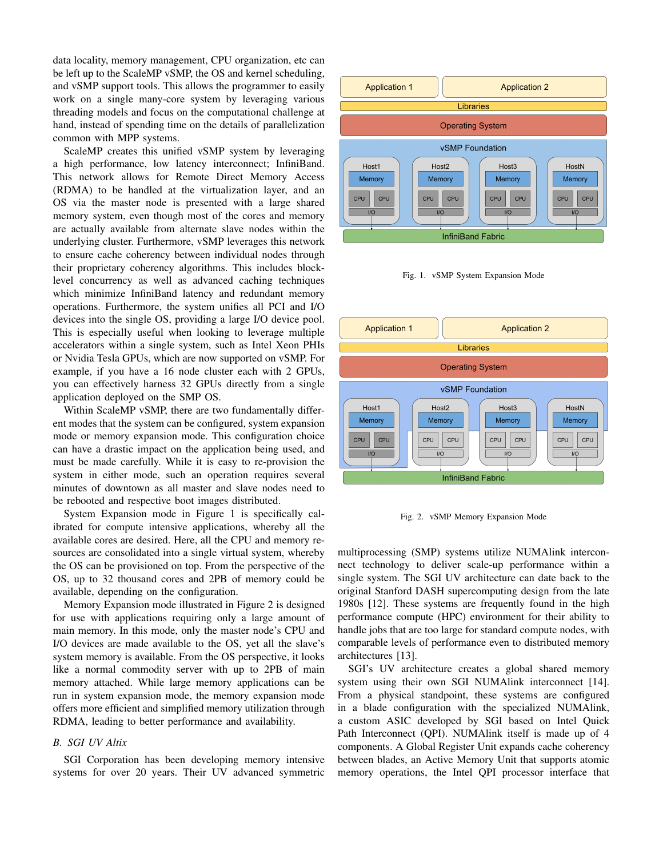data locality, memory management, CPU organization, etc can be left up to the ScaleMP vSMP, the OS and kernel scheduling, and vSMP support tools. This allows the programmer to easily work on a single many-core system by leveraging various threading models and focus on the computational challenge at hand, instead of spending time on the details of parallelization common with MPP systems.

ScaleMP creates this unified vSMP system by leveraging a high performance, low latency interconnect; InfiniBand. This network allows for Remote Direct Memory Access (RDMA) to be handled at the virtualization layer, and an OS via the master node is presented with a large shared memory system, even though most of the cores and memory are actually available from alternate slave nodes within the underlying cluster. Furthermore, vSMP leverages this network to ensure cache coherency between individual nodes through their proprietary coherency algorithms. This includes blocklevel concurrency as well as advanced caching techniques which minimize InfiniBand latency and redundant memory operations. Furthermore, the system unifies all PCI and I/O devices into the single OS, providing a large I/O device pool. This is especially useful when looking to leverage multiple accelerators within a single system, such as Intel Xeon PHIs or Nvidia Tesla GPUs, which are now supported on vSMP. For example, if you have a 16 node cluster each with 2 GPUs, you can effectively harness 32 GPUs directly from a single application deployed on the SMP OS.

Within ScaleMP vSMP, there are two fundamentally different modes that the system can be configured, system expansion mode or memory expansion mode. This configuration choice can have a drastic impact on the application being used, and must be made carefully. While it is easy to re-provision the system in either mode, such an operation requires several minutes of downtown as all master and slave nodes need to be rebooted and respective boot images distributed.

System Expansion mode in Figure 1 is specifically calibrated for compute intensive applications, whereby all the available cores are desired. Here, all the CPU and memory resources are consolidated into a single virtual system, whereby the OS can be provisioned on top. From the perspective of the OS, up to 32 thousand cores and 2PB of memory could be available, depending on the configuration.

Memory Expansion mode illustrated in Figure 2 is designed for use with applications requiring only a large amount of main memory. In this mode, only the master node's CPU and I/O devices are made available to the OS, yet all the slave's system memory is available. From the OS perspective, it looks like a normal commodity server with up to 2PB of main memory attached. While large memory applications can be run in system expansion mode, the memory expansion mode offers more efficient and simplified memory utilization through RDMA, leading to better performance and availability.

## *B. SGI UV Altix*

SGI Corporation has been developing memory intensive systems for over 20 years. Their UV advanced symmetric







Fig. 2. vSMP Memory Expansion Mode

multiprocessing (SMP) systems utilize NUMAlink interconnect technology to deliver scale-up performance within a single system. The SGI UV architecture can date back to the original Stanford DASH supercomputing design from the late 1980s [12]. These systems are frequently found in the high performance compute (HPC) environment for their ability to handle jobs that are too large for standard compute nodes, with comparable levels of performance even to distributed memory architectures [13].

SGI's UV architecture creates a global shared memory system using their own SGI NUMAlink interconnect [14]. From a physical standpoint, these systems are configured in a blade configuration with the specialized NUMAlink, a custom ASIC developed by SGI based on Intel Quick Path Interconnect (QPI). NUMAlink itself is made up of 4 components. A Global Register Unit expands cache coherency between blades, an Active Memory Unit that supports atomic memory operations, the Intel QPI processor interface that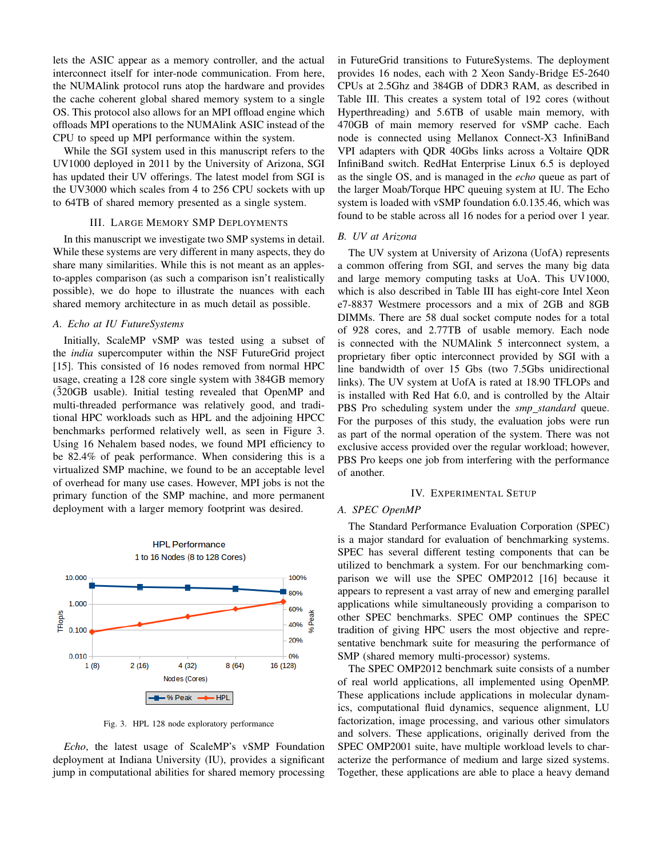lets the ASIC appear as a memory controller, and the actual interconnect itself for inter-node communication. From here, the NUMAlink protocol runs atop the hardware and provides the cache coherent global shared memory system to a single OS. This protocol also allows for an MPI offload engine which offloads MPI operations to the NUMAlink ASIC instead of the CPU to speed up MPI performance within the system.

While the SGI system used in this manuscript refers to the UV1000 deployed in 2011 by the University of Arizona, SGI has updated their UV offerings. The latest model from SGI is the UV3000 which scales from 4 to 256 CPU sockets with up to 64TB of shared memory presented as a single system.

## III. LARGE MEMORY SMP DEPLOYMENTS

In this manuscript we investigate two SMP systems in detail. While these systems are very different in many aspects, they do share many similarities. While this is not meant as an applesto-apples comparison (as such a comparison isn't realistically possible), we do hope to illustrate the nuances with each shared memory architecture in as much detail as possible.

#### *A. Echo at IU FutureSystems*

Initially, ScaleMP vSMP was tested using a subset of the *india* supercomputer within the NSF FutureGrid project [15]. This consisted of 16 nodes removed from normal HPC usage, creating a 128 core single system with 384GB memory  $(320GB \text{ usable})$ . Initial testing revealed that OpenMP and multi-threaded performance was relatively good, and traditional HPC workloads such as HPL and the adjoining HPCC benchmarks performed relatively well, as seen in Figure 3. Using 16 Nehalem based nodes, we found MPI efficiency to be 82.4% of peak performance. When considering this is a virtualized SMP machine, we found to be an acceptable level of overhead for many use cases. However, MPI jobs is not the primary function of the SMP machine, and more permanent deployment with a larger memory footprint was desired.



Fig. 3. HPL 128 node exploratory performance

*Echo*, the latest usage of ScaleMP's vSMP Foundation deployment at Indiana University (IU), provides a significant jump in computational abilities for shared memory processing in FutureGrid transitions to FutureSystems. The deployment provides 16 nodes, each with 2 Xeon Sandy-Bridge E5-2640 CPUs at 2.5Ghz and 384GB of DDR3 RAM, as described in Table III. This creates a system total of 192 cores (without Hyperthreading) and 5.6TB of usable main memory, with 470GB of main memory reserved for vSMP cache. Each node is connected using Mellanox Connect-X3 InfiniBand VPI adapters with QDR 40Gbs links across a Voltaire QDR InfiniBand switch. RedHat Enterprise Linux 6.5 is deployed as the single OS, and is managed in the *echo* queue as part of the larger Moab/Torque HPC queuing system at IU. The Echo system is loaded with vSMP foundation 6.0.135.46, which was found to be stable across all 16 nodes for a period over 1 year.

## *B. UV at Arizona*

The UV system at University of Arizona (UofA) represents a common offering from SGI, and serves the many big data and large memory computing tasks at UoA. This UV1000, which is also described in Table III has eight-core Intel Xeon e7-8837 Westmere processors and a mix of 2GB and 8GB DIMMs. There are 58 dual socket compute nodes for a total of 928 cores, and 2.77TB of usable memory. Each node is connected with the NUMAlink 5 interconnect system, a proprietary fiber optic interconnect provided by SGI with a line bandwidth of over 15 Gbs (two 7.5Gbs unidirectional links). The UV system at UofA is rated at 18.90 TFLOPs and is installed with Red Hat 6.0, and is controlled by the Altair PBS Pro scheduling system under the *smp standard* queue. For the purposes of this study, the evaluation jobs were run as part of the normal operation of the system. There was not exclusive access provided over the regular workload; however, PBS Pro keeps one job from interfering with the performance of another.

#### IV. EXPERIMENTAL SETUP

#### *A. SPEC OpenMP*

The Standard Performance Evaluation Corporation (SPEC) is a major standard for evaluation of benchmarking systems. SPEC has several different testing components that can be utilized to benchmark a system. For our benchmarking comparison we will use the SPEC OMP2012 [16] because it appears to represent a vast array of new and emerging parallel applications while simultaneously providing a comparison to other SPEC benchmarks. SPEC OMP continues the SPEC tradition of giving HPC users the most objective and representative benchmark suite for measuring the performance of SMP (shared memory multi-processor) systems.

The SPEC OMP2012 benchmark suite consists of a number of real world applications, all implemented using OpenMP. These applications include applications in molecular dynamics, computational fluid dynamics, sequence alignment, LU factorization, image processing, and various other simulators and solvers. These applications, originally derived from the SPEC OMP2001 suite, have multiple workload levels to characterize the performance of medium and large sized systems. Together, these applications are able to place a heavy demand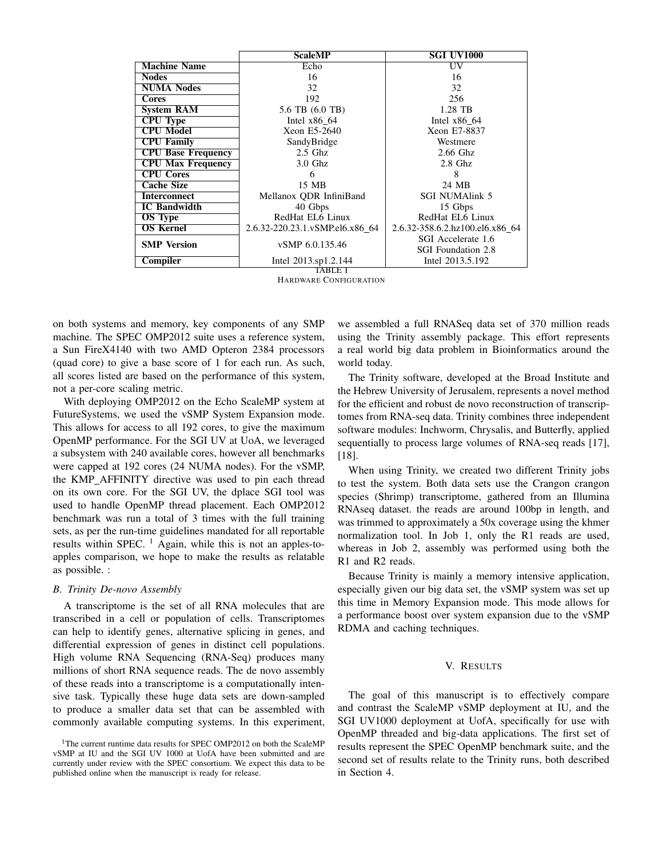|                           | <b>ScaleMP</b>                  | <b>SGI UV1000</b>               |
|---------------------------|---------------------------------|---------------------------------|
| <b>Machine Name</b>       | Echo                            | UV                              |
| <b>Nodes</b>              | 16                              | 16                              |
| <b>NUMA Nodes</b>         | 32                              | 32                              |
| <b>Cores</b>              | 192                             | 256                             |
| <b>System RAM</b>         | 5.6 TB (6.0 TB)                 | 1.28 TB                         |
| <b>CPU Type</b>           | Intel $x86_64$                  | Intel $x86$ 64                  |
| <b>CPU Model</b>          | Xeon E5-2640                    | Xeon E7-8837                    |
| <b>CPU Family</b>         | SandyBridge                     | Westmere                        |
| <b>CPU Base Frequency</b> | $2.5$ Ghz                       | 2.66 Ghz                        |
| <b>CPU Max Frequency</b>  | $3.0$ Ghz                       | $2.8$ Ghz                       |
| <b>CPU Cores</b>          | 6                               | 8                               |
| <b>Cache Size</b>         | 15 MB                           | 24 MB                           |
| <b>Interconnect</b>       | Mellanox QDR InfiniBand         | <b>SGI NUMAlink 5</b>           |
| <b>IC</b> Bandwidth       | 40 Gbps                         | 15 Gbps                         |
| <b>OS</b> Type            | RedHat EL6 Linux                | RedHat EL6 Linux                |
| <b>OS Kernel</b>          | 2.6.32-220.23.1.vSMP.el6.x86 64 | 2.6.32-358.6.2.hz100.el6.x86 64 |
| <b>SMP</b> Version        | vSMP 6.0.135.46                 | SGI Accelerate 1.6              |
|                           |                                 | <b>SGI</b> Foundation 2.8       |
| Compiler                  | Intel 2013.sp1.2.144            | Intel 2013.5.192                |
| TARLE I                   |                                 |                                 |

HARDWARE CONFIGURATION

on both systems and memory, key components of any SMP machine. The SPEC OMP2012 suite uses a reference system, a Sun FireX4140 with two AMD Opteron 2384 processors (quad core) to give a base score of 1 for each run. As such, all scores listed are based on the performance of this system, not a per-core scaling metric.

With deploying OMP2012 on the Echo ScaleMP system at FutureSystems, we used the vSMP System Expansion mode. This allows for access to all 192 cores, to give the maximum OpenMP performance. For the SGI UV at UoA, we leveraged a subsystem with 240 available cores, however all benchmarks were capped at 192 cores (24 NUMA nodes). For the vSMP, the KMP AFFINITY directive was used to pin each thread on its own core. For the SGI UV, the dplace SGI tool was used to handle OpenMP thread placement. Each OMP2012 benchmark was run a total of 3 times with the full training sets, as per the run-time guidelines mandated for all reportable results within SPEC.  $\frac{1}{1}$  Again, while this is not an apples-toapples comparison, we hope to make the results as relatable as possible. :

#### *B. Trinity De-novo Assembly*

A transcriptome is the set of all RNA molecules that are transcribed in a cell or population of cells. Transcriptomes can help to identify genes, alternative splicing in genes, and differential expression of genes in distinct cell populations. High volume RNA Sequencing (RNA-Seq) produces many millions of short RNA sequence reads. The de novo assembly of these reads into a transcriptome is a computationally intensive task. Typically these huge data sets are down-sampled to produce a smaller data set that can be assembled with commonly available computing systems. In this experiment,

we assembled a full RNASeq data set of 370 million reads using the Trinity assembly package. This effort represents a real world big data problem in Bioinformatics around the world today.

The Trinity software, developed at the Broad Institute and the Hebrew University of Jerusalem, represents a novel method for the efficient and robust de novo reconstruction of transcriptomes from RNA-seq data. Trinity combines three independent software modules: Inchworm, Chrysalis, and Butterfly, applied sequentially to process large volumes of RNA-seq reads [17], [18].

When using Trinity, we created two different Trinity jobs to test the system. Both data sets use the Crangon crangon species (Shrimp) transcriptome, gathered from an Illumina RNAseq dataset. the reads are around 100bp in length, and was trimmed to approximately a 50x coverage using the khmer normalization tool. In Job 1, only the R1 reads are used, whereas in Job 2, assembly was performed using both the R1 and R2 reads.

Because Trinity is mainly a memory intensive application, especially given our big data set, the vSMP system was set up this time in Memory Expansion mode. This mode allows for a performance boost over system expansion due to the vSMP RDMA and caching techniques.

#### V. RESULTS

The goal of this manuscript is to effectively compare and contrast the ScaleMP vSMP deployment at IU, and the SGI UV1000 deployment at UofA, specifically for use with OpenMP threaded and big-data applications. The first set of results represent the SPEC OpenMP benchmark suite, and the second set of results relate to the Trinity runs, both described in Section 4.

<sup>&</sup>lt;sup>1</sup>The current runtime data results for SPEC OMP2012 on both the ScaleMP vSMP at IU and the SGI UV 1000 at UofA have been submitted and are currently under review with the SPEC consortium. We expect this data to be published online when the manuscript is ready for release.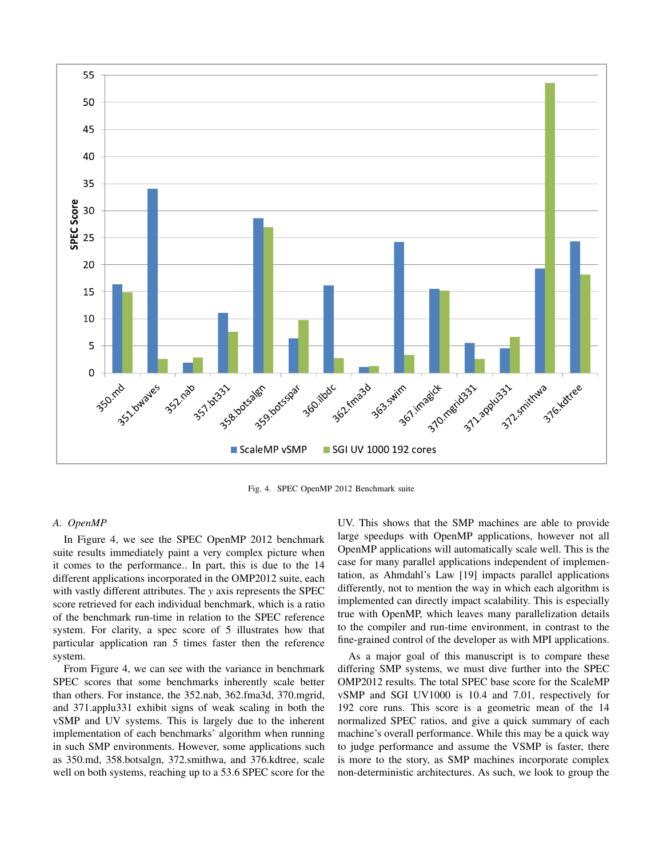

Fig. 4. SPEC OpenMP 2012 Benchmark suite

## *A. OpenMP*

In Figure 4, we see the SPEC OpenMP 2012 benchmark suite results immediately paint a very complex picture when it comes to the performance.. In part, this is due to the 14 different applications incorporated in the OMP2012 suite, each with vastly different attributes. The *y* axis represents the SPEC score retrieved for each individual benchmark, which is a ratio of the benchmark run-time in relation to the SPEC reference system. For clarity, a spec score of 5 illustrates how that particular application ran 5 times faster then the reference system.

From Figure 4, we can see with the variance in benchmark SPEC scores that some benchmarks inherently scale better than others. For instance, the 352.nab, 362.fma3d, 370.mgrid, and 371.applu331 exhibit signs of weak scaling in both the vSMP and UV systems. This is largely due to the inherent implementation of each benchmarks' algorithm when running in such SMP environments. However, some applications such as 350.md, 358.botsalgn, 372.smithwa, and 376.kdtree, scale well on both systems, reaching up to a 53.6 SPEC score for the

UV. This shows that the SMP machines are able to provide large speedups with OpenMP applications, however not all OpenMP applications will automatically scale well. This is the case for many parallel applications independent of implementation, as Ahmdahl's Law [19] impacts parallel applications differently, not to mention the way in which each algorithm is implemented can directly impact scalability. This is especially true with OpenMP, which leaves many parallelization details to the compiler and run-time environment, in contrast to the fine-grained control of the developer as with MPI applications.

As a major goal of this manuscript is to compare these differing SMP systems, we must dive further into the SPEC OMP2012 results. The total SPEC base score for the ScaleMP vSMP and SGI UV1000 is 10.4 and 7.01, respectively for 192 core runs. This score is a geometric mean of the 14 normalized SPEC ratios, and give a quick summary of each machine's overall performance. While this may be a quick way to judge performance and assume the VSMP is faster, there is more to the story, as SMP machines incorporate complex non-deterministic architectures. As such, we look to group the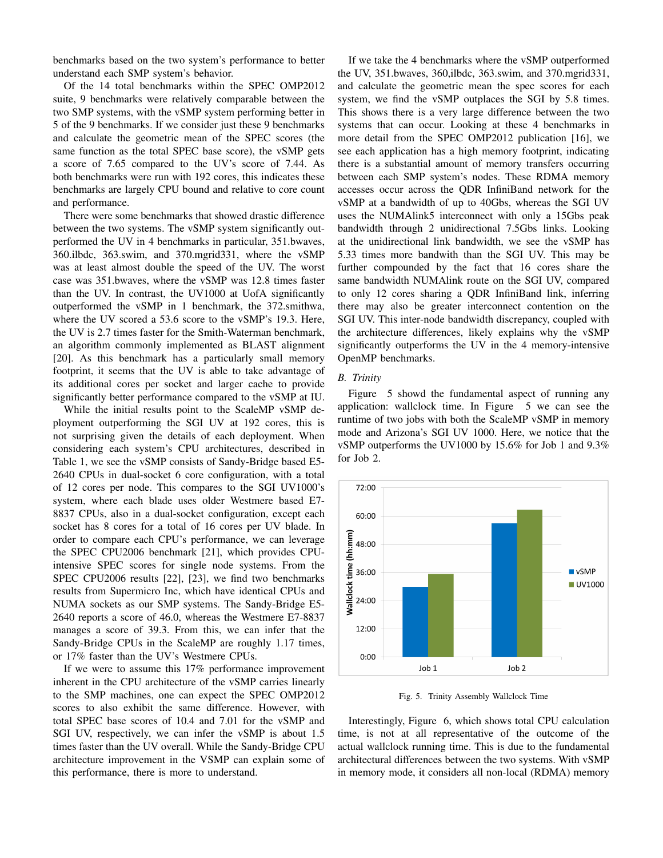benchmarks based on the two system's performance to better understand each SMP system's behavior.

Of the 14 total benchmarks within the SPEC OMP2012 suite, 9 benchmarks were relatively comparable between the two SMP systems, with the vSMP system performing better in 5 of the 9 benchmarks. If we consider just these 9 benchmarks and calculate the geometric mean of the SPEC scores (the same function as the total SPEC base score), the vSMP gets a score of 7.65 compared to the UV's score of 7.44. As both benchmarks were run with 192 cores, this indicates these benchmarks are largely CPU bound and relative to core count and performance.

There were some benchmarks that showed drastic difference between the two systems. The vSMP system significantly outperformed the UV in 4 benchmarks in particular, 351.bwaves, 360.ilbdc, 363.swim, and 370.mgrid331, where the vSMP was at least almost double the speed of the UV. The worst case was 351.bwaves, where the vSMP was 12.8 times faster than the UV. In contrast, the UV1000 at UofA significantly outperformed the vSMP in 1 benchmark, the 372.smithwa, where the UV scored a 53.6 score to the vSMP's 19.3. Here, the UV is 2.7 times faster for the Smith-Waterman benchmark, an algorithm commonly implemented as BLAST alignment [20]. As this benchmark has a particularly small memory footprint, it seems that the UV is able to take advantage of its additional cores per socket and larger cache to provide significantly better performance compared to the vSMP at IU.

While the initial results point to the ScaleMP vSMP deployment outperforming the SGI UV at 192 cores, this is not surprising given the details of each deployment. When considering each system's CPU architectures, described in Table 1, we see the vSMP consists of Sandy-Bridge based E5- 2640 CPUs in dual-socket 6 core configuration, with a total of 12 cores per node. This compares to the SGI UV1000's system, where each blade uses older Westmere based E7- 8837 CPUs, also in a dual-socket configuration, except each socket has 8 cores for a total of 16 cores per UV blade. In order to compare each CPU's performance, we can leverage the SPEC CPU2006 benchmark [21], which provides CPUintensive SPEC scores for single node systems. From the SPEC CPU2006 results [22], [23], we find two benchmarks results from Supermicro Inc, which have identical CPUs and NUMA sockets as our SMP systems. The Sandy-Bridge E5- 2640 reports a score of 46.0, whereas the Westmere E7-8837 manages a score of 39.3. From this, we can infer that the Sandy-Bridge CPUs in the ScaleMP are roughly 1.17 times, or 17% faster than the UV's Westmere CPUs.

If we were to assume this 17% performance improvement inherent in the CPU architecture of the vSMP carries linearly to the SMP machines, one can expect the SPEC OMP2012 scores to also exhibit the same difference. However, with total SPEC base scores of 10.4 and 7.01 for the vSMP and SGI UV, respectively, we can infer the vSMP is about 1.5 times faster than the UV overall. While the Sandy-Bridge CPU architecture improvement in the VSMP can explain some of this performance, there is more to understand.

If we take the 4 benchmarks where the vSMP outperformed the UV, 351.bwaves, 360,ilbdc, 363.swim, and 370.mgrid331, and calculate the geometric mean the spec scores for each system, we find the vSMP outplaces the SGI by 5.8 times. This shows there is a very large difference between the two systems that can occur. Looking at these 4 benchmarks in more detail from the SPEC OMP2012 publication [16], we see each application has a high memory footprint, indicating there is a substantial amount of memory transfers occurring between each SMP system's nodes. These RDMA memory accesses occur across the QDR InfiniBand network for the vSMP at a bandwidth of up to 40Gbs, whereas the SGI UV uses the NUMAlink5 interconnect with only a 15Gbs peak bandwidth through 2 unidirectional 7.5Gbs links. Looking at the unidirectional link bandwidth, we see the vSMP has 5.33 times more bandwith than the SGI UV. This may be further compounded by the fact that 16 cores share the same bandwidth NUMAlink route on the SGI UV, compared to only 12 cores sharing a QDR InfiniBand link, inferring there may also be greater interconnect contention on the SGI UV. This inter-node bandwidth discrepancy, coupled with the architecture differences, likely explains why the vSMP significantly outperforms the UV in the 4 memory-intensive OpenMP benchmarks.

## *B. Trinity*

Figure 5 showd the fundamental aspect of running any application: wallclock time. In Figure 5 we can see the runtime of two jobs with both the ScaleMP vSMP in memory mode and Arizona's SGI UV 1000. Here, we notice that the vSMP outperforms the UV1000 by 15.6% for Job 1 and 9.3% for Job 2.



Fig. 5. Trinity Assembly Wallclock Time

Interestingly, Figure 6, which shows total CPU calculation time, is not at all representative of the outcome of the actual wallclock running time. This is due to the fundamental architectural differences between the two systems. With vSMP in memory mode, it considers all non-local (RDMA) memory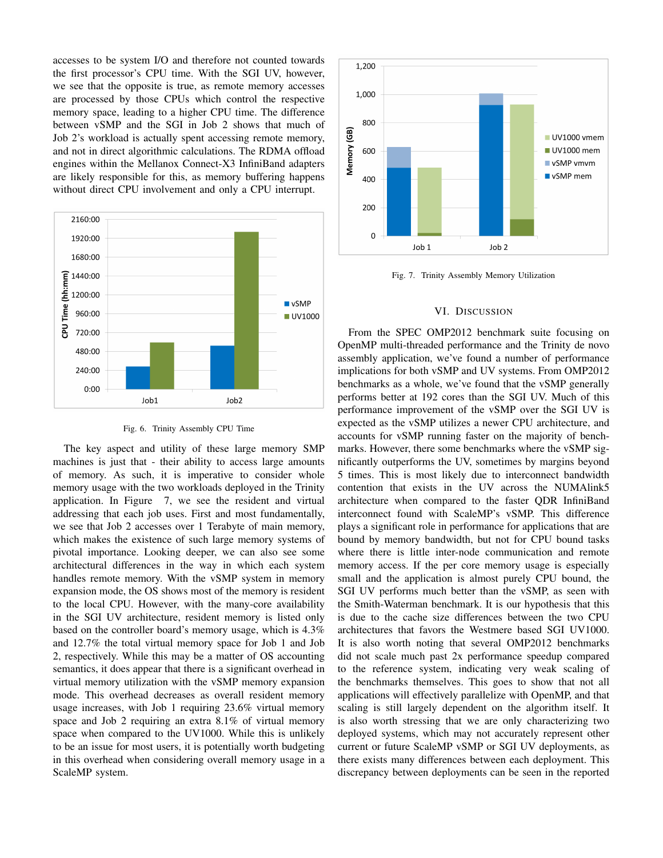accesses to be system I/O and therefore not counted towards the first processor's CPU time. With the SGI UV, however, we see that the opposite is true, as remote memory accesses are processed by those CPUs which control the respective memory space, leading to a higher CPU time. The difference between vSMP and the SGI in Job 2 shows that much of Job 2's workload is actually spent accessing remote memory, and not in direct algorithmic calculations. The RDMA offload engines within the Mellanox Connect-X3 InfiniBand adapters are likely responsible for this, as memory buffering happens without direct CPU involvement and only a CPU interrupt.



Fig. 6. Trinity Assembly CPU Time

The key aspect and utility of these large memory SMP machines is just that - their ability to access large amounts of memory. As such, it is imperative to consider whole memory usage with the two workloads deployed in the Trinity application. In Figure 7, we see the resident and virtual addressing that each job uses. First and most fundamentally, we see that Job 2 accesses over 1 Terabyte of main memory, which makes the existence of such large memory systems of pivotal importance. Looking deeper, we can also see some architectural differences in the way in which each system handles remote memory. With the vSMP system in memory expansion mode, the OS shows most of the memory is resident to the local CPU. However, with the many-core availability in the SGI UV architecture, resident memory is listed only based on the controller board's memory usage, which is 4.3% and 12.7% the total virtual memory space for Job 1 and Job 2, respectively. While this may be a matter of OS accounting semantics, it does appear that there is a significant overhead in virtual memory utilization with the vSMP memory expansion mode. This overhead decreases as overall resident memory usage increases, with Job 1 requiring 23.6% virtual memory space and Job 2 requiring an extra 8.1% of virtual memory space when compared to the UV1000. While this is unlikely to be an issue for most users, it is potentially worth budgeting in this overhead when considering overall memory usage in a ScaleMP system.



Fig. 7. Trinity Assembly Memory Utilization

#### VI. DISCUSSION

From the SPEC OMP2012 benchmark suite focusing on OpenMP multi-threaded performance and the Trinity de novo assembly application, we've found a number of performance implications for both vSMP and UV systems. From OMP2012 benchmarks as a whole, we've found that the vSMP generally performs better at 192 cores than the SGI UV. Much of this performance improvement of the vSMP over the SGI UV is expected as the vSMP utilizes a newer CPU architecture, and accounts for vSMP running faster on the majority of benchmarks. However, there some benchmarks where the vSMP significantly outperforms the UV, sometimes by margins beyond 5 times. This is most likely due to interconnect bandwidth contention that exists in the UV across the NUMAlink5 architecture when compared to the faster QDR InfiniBand interconnect found with ScaleMP's vSMP. This difference plays a significant role in performance for applications that are bound by memory bandwidth, but not for CPU bound tasks where there is little inter-node communication and remote memory access. If the per core memory usage is especially small and the application is almost purely CPU bound, the SGI UV performs much better than the vSMP, as seen with the Smith-Waterman benchmark. It is our hypothesis that this is due to the cache size differences between the two CPU architectures that favors the Westmere based SGI UV1000. It is also worth noting that several OMP2012 benchmarks did not scale much past 2x performance speedup compared to the reference system, indicating very weak scaling of the benchmarks themselves. This goes to show that not all applications will effectively parallelize with OpenMP, and that scaling is still largely dependent on the algorithm itself. It is also worth stressing that we are only characterizing two deployed systems, which may not accurately represent other current or future ScaleMP vSMP or SGI UV deployments, as there exists many differences between each deployment. This discrepancy between deployments can be seen in the reported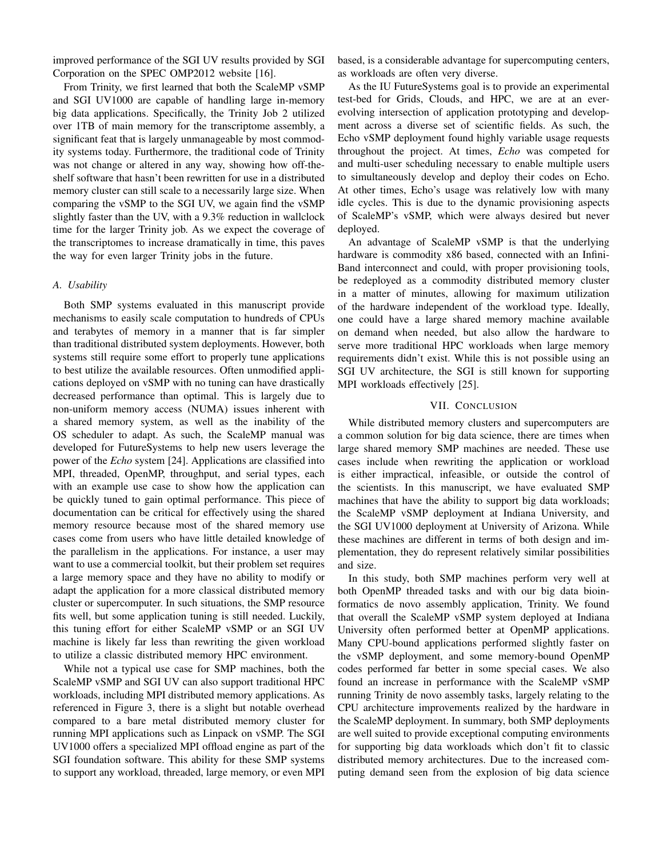improved performance of the SGI UV results provided by SGI Corporation on the SPEC OMP2012 website [16].

From Trinity, we first learned that both the ScaleMP vSMP and SGI UV1000 are capable of handling large in-memory big data applications. Specifically, the Trinity Job 2 utilized over 1TB of main memory for the transcriptome assembly, a significant feat that is largely unmanageable by most commodity systems today. Furthermore, the traditional code of Trinity was not change or altered in any way, showing how off-theshelf software that hasn't been rewritten for use in a distributed memory cluster can still scale to a necessarily large size. When comparing the vSMP to the SGI UV, we again find the vSMP slightly faster than the UV, with a 9.3% reduction in wallclock time for the larger Trinity job. As we expect the coverage of the transcriptomes to increase dramatically in time, this paves the way for even larger Trinity jobs in the future.

## *A. Usability*

Both SMP systems evaluated in this manuscript provide mechanisms to easily scale computation to hundreds of CPUs and terabytes of memory in a manner that is far simpler than traditional distributed system deployments. However, both systems still require some effort to properly tune applications to best utilize the available resources. Often unmodified applications deployed on vSMP with no tuning can have drastically decreased performance than optimal. This is largely due to non-uniform memory access (NUMA) issues inherent with a shared memory system, as well as the inability of the OS scheduler to adapt. As such, the ScaleMP manual was developed for FutureSystems to help new users leverage the power of the *Echo* system [24]. Applications are classified into MPI, threaded, OpenMP, throughput, and serial types, each with an example use case to show how the application can be quickly tuned to gain optimal performance. This piece of documentation can be critical for effectively using the shared memory resource because most of the shared memory use cases come from users who have little detailed knowledge of the parallelism in the applications. For instance, a user may want to use a commercial toolkit, but their problem set requires a large memory space and they have no ability to modify or adapt the application for a more classical distributed memory cluster or supercomputer. In such situations, the SMP resource fits well, but some application tuning is still needed. Luckily, this tuning effort for either ScaleMP vSMP or an SGI UV machine is likely far less than rewriting the given workload to utilize a classic distributed memory HPC environment.

While not a typical use case for SMP machines, both the ScaleMP vSMP and SGI UV can also support traditional HPC workloads, including MPI distributed memory applications. As referenced in Figure 3, there is a slight but notable overhead compared to a bare metal distributed memory cluster for running MPI applications such as Linpack on vSMP. The SGI UV1000 offers a specialized MPI offload engine as part of the SGI foundation software. This ability for these SMP systems to support any workload, threaded, large memory, or even MPI

based, is a considerable advantage for supercomputing centers, as workloads are often very diverse.

As the IU FutureSystems goal is to provide an experimental test-bed for Grids, Clouds, and HPC, we are at an everevolving intersection of application prototyping and development across a diverse set of scientific fields. As such, the Echo vSMP deployment found highly variable usage requests throughout the project. At times, *Echo* was competed for and multi-user scheduling necessary to enable multiple users to simultaneously develop and deploy their codes on Echo. At other times, Echo's usage was relatively low with many idle cycles. This is due to the dynamic provisioning aspects of ScaleMP's vSMP, which were always desired but never deployed.

An advantage of ScaleMP vSMP is that the underlying hardware is commodity x86 based, connected with an Infini-Band interconnect and could, with proper provisioning tools, be redeployed as a commodity distributed memory cluster in a matter of minutes, allowing for maximum utilization of the hardware independent of the workload type. Ideally, one could have a large shared memory machine available on demand when needed, but also allow the hardware to serve more traditional HPC workloads when large memory requirements didn't exist. While this is not possible using an SGI UV architecture, the SGI is still known for supporting MPI workloads effectively [25].

## VII. CONCLUSION

While distributed memory clusters and supercomputers are a common solution for big data science, there are times when large shared memory SMP machines are needed. These use cases include when rewriting the application or workload is either impractical, infeasible, or outside the control of the scientists. In this manuscript, we have evaluated SMP machines that have the ability to support big data workloads; the ScaleMP vSMP deployment at Indiana University, and the SGI UV1000 deployment at University of Arizona. While these machines are different in terms of both design and implementation, they do represent relatively similar possibilities and size.

In this study, both SMP machines perform very well at both OpenMP threaded tasks and with our big data bioinformatics de novo assembly application, Trinity. We found that overall the ScaleMP vSMP system deployed at Indiana University often performed better at OpenMP applications. Many CPU-bound applications performed slightly faster on the vSMP deployment, and some memory-bound OpenMP codes performed far better in some special cases. We also found an increase in performance with the ScaleMP vSMP running Trinity de novo assembly tasks, largely relating to the CPU architecture improvements realized by the hardware in the ScaleMP deployment. In summary, both SMP deployments are well suited to provide exceptional computing environments for supporting big data workloads which don't fit to classic distributed memory architectures. Due to the increased computing demand seen from the explosion of big data science